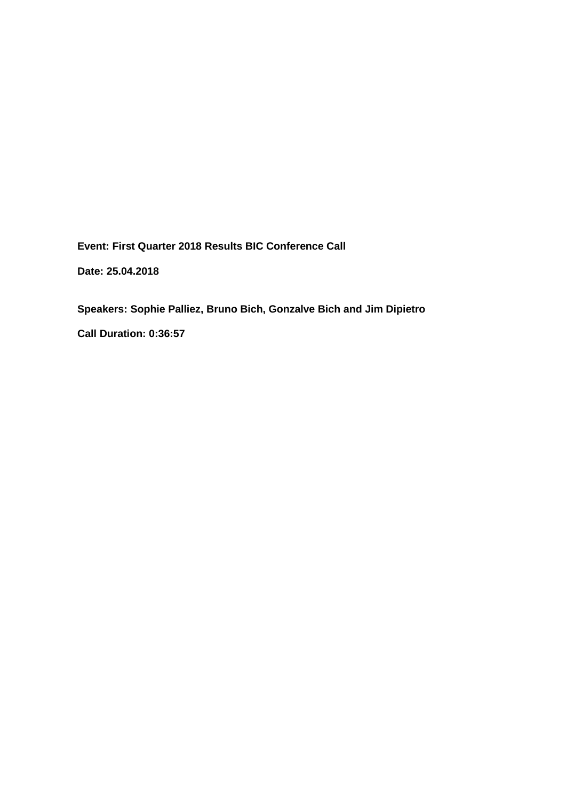**Event: First Quarter 2018 Results BIC Conference Call**

**Date: 25.04.2018**

**Speakers: Sophie Palliez, Bruno Bich, Gonzalve Bich and Jim Dipietro Call Duration: 0:36:57**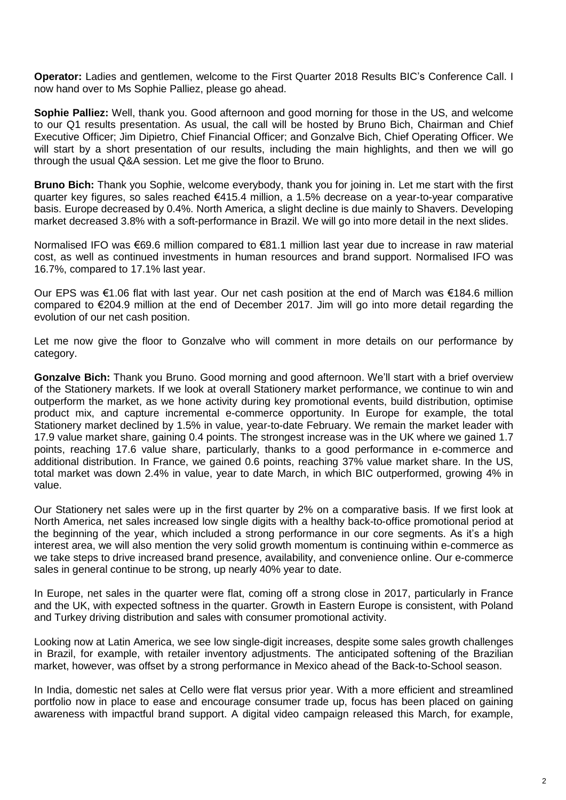**Operator:** Ladies and gentlemen, welcome to the First Quarter 2018 Results BIC's Conference Call. I now hand over to Ms Sophie Palliez, please go ahead.

**Sophie Palliez:** Well, thank you. Good afternoon and good morning for those in the US, and welcome to our Q1 results presentation. As usual, the call will be hosted by Bruno Bich, Chairman and Chief Executive Officer; Jim Dipietro, Chief Financial Officer; and Gonzalve Bich, Chief Operating Officer. We will start by a short presentation of our results, including the main highlights, and then we will go through the usual Q&A session. Let me give the floor to Bruno.

**Bruno Bich:** Thank you Sophie, welcome everybody, thank you for joining in. Let me start with the first quarter key figures, so sales reached €415.4 million, a 1.5% decrease on a year-to-year comparative basis. Europe decreased by 0.4%. North America, a slight decline is due mainly to Shavers. Developing market decreased 3.8% with a soft-performance in Brazil. We will go into more detail in the next slides.

Normalised IFO was €69.6 million compared to €81.1 million last year due to increase in raw material cost, as well as continued investments in human resources and brand support. Normalised IFO was 16.7%, compared to 17.1% last year.

Our EPS was €1.06 flat with last year. Our net cash position at the end of March was €184.6 million compared to €204.9 million at the end of December 2017. Jim will go into more detail regarding the evolution of our net cash position.

Let me now give the floor to Gonzalve who will comment in more details on our performance by category.

**Gonzalve Bich:** Thank you Bruno. Good morning and good afternoon. We'll start with a brief overview of the Stationery markets. If we look at overall Stationery market performance, we continue to win and outperform the market, as we hone activity during key promotional events, build distribution, optimise product mix, and capture incremental e-commerce opportunity. In Europe for example, the total Stationery market declined by 1.5% in value, year-to-date February. We remain the market leader with 17.9 value market share, gaining 0.4 points. The strongest increase was in the UK where we gained 1.7 points, reaching 17.6 value share, particularly, thanks to a good performance in e-commerce and additional distribution. In France, we gained 0.6 points, reaching 37% value market share. In the US, total market was down 2.4% in value, year to date March, in which BIC outperformed, growing 4% in value.

Our Stationery net sales were up in the first quarter by 2% on a comparative basis. If we first look at North America, net sales increased low single digits with a healthy back-to-office promotional period at the beginning of the year, which included a strong performance in our core segments. As it's a high interest area, we will also mention the very solid growth momentum is continuing within e-commerce as we take steps to drive increased brand presence, availability, and convenience online. Our e-commerce sales in general continue to be strong, up nearly 40% year to date.

In Europe, net sales in the quarter were flat, coming off a strong close in 2017, particularly in France and the UK, with expected softness in the quarter. Growth in Eastern Europe is consistent, with Poland and Turkey driving distribution and sales with consumer promotional activity.

Looking now at Latin America, we see low single-digit increases, despite some sales growth challenges in Brazil, for example, with retailer inventory adjustments. The anticipated softening of the Brazilian market, however, was offset by a strong performance in Mexico ahead of the Back-to-School season.

In India, domestic net sales at Cello were flat versus prior year. With a more efficient and streamlined portfolio now in place to ease and encourage consumer trade up, focus has been placed on gaining awareness with impactful brand support. A digital video campaign released this March, for example,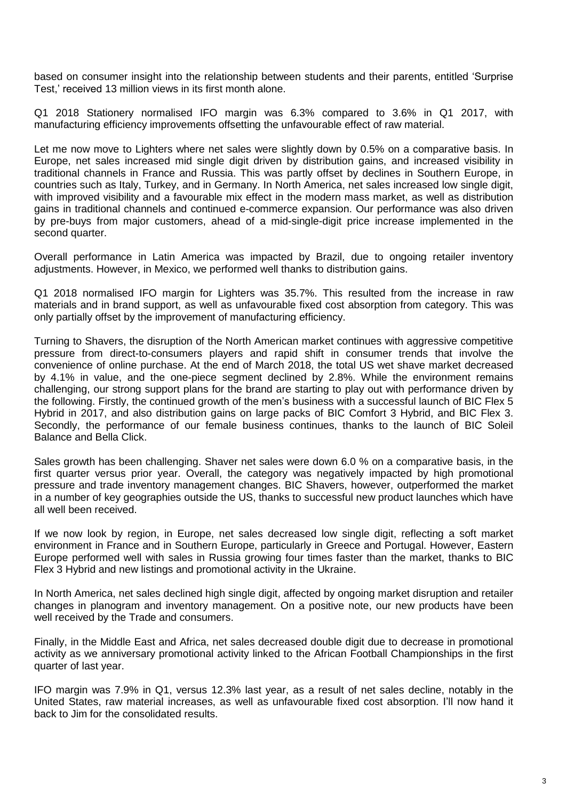based on consumer insight into the relationship between students and their parents, entitled 'Surprise Test,' received 13 million views in its first month alone.

Q1 2018 Stationery normalised IFO margin was 6.3% compared to 3.6% in Q1 2017, with manufacturing efficiency improvements offsetting the unfavourable effect of raw material.

Let me now move to Lighters where net sales were slightly down by 0.5% on a comparative basis. In Europe, net sales increased mid single digit driven by distribution gains, and increased visibility in traditional channels in France and Russia. This was partly offset by declines in Southern Europe, in countries such as Italy, Turkey, and in Germany. In North America, net sales increased low single digit, with improved visibility and a favourable mix effect in the modern mass market, as well as distribution gains in traditional channels and continued e-commerce expansion. Our performance was also driven by pre-buys from major customers, ahead of a mid-single-digit price increase implemented in the second quarter.

Overall performance in Latin America was impacted by Brazil, due to ongoing retailer inventory adjustments. However, in Mexico, we performed well thanks to distribution gains.

Q1 2018 normalised IFO margin for Lighters was 35.7%. This resulted from the increase in raw materials and in brand support, as well as unfavourable fixed cost absorption from category. This was only partially offset by the improvement of manufacturing efficiency.

Turning to Shavers, the disruption of the North American market continues with aggressive competitive pressure from direct-to-consumers players and rapid shift in consumer trends that involve the convenience of online purchase. At the end of March 2018, the total US wet shave market decreased by 4.1% in value, and the one-piece segment declined by 2.8%. While the environment remains challenging, our strong support plans for the brand are starting to play out with performance driven by the following. Firstly, the continued growth of the men's business with a successful launch of BIC Flex 5 Hybrid in 2017, and also distribution gains on large packs of BIC Comfort 3 Hybrid, and BIC Flex 3. Secondly, the performance of our female business continues, thanks to the launch of BIC Soleil Balance and Bella Click.

Sales growth has been challenging. Shaver net sales were down 6.0 % on a comparative basis, in the first quarter versus prior year. Overall, the category was negatively impacted by high promotional pressure and trade inventory management changes. BIC Shavers, however, outperformed the market in a number of key geographies outside the US, thanks to successful new product launches which have all well been received.

If we now look by region, in Europe, net sales decreased low single digit, reflecting a soft market environment in France and in Southern Europe, particularly in Greece and Portugal. However, Eastern Europe performed well with sales in Russia growing four times faster than the market, thanks to BIC Flex 3 Hybrid and new listings and promotional activity in the Ukraine.

In North America, net sales declined high single digit, affected by ongoing market disruption and retailer changes in planogram and inventory management. On a positive note, our new products have been well received by the Trade and consumers.

Finally, in the Middle East and Africa, net sales decreased double digit due to decrease in promotional activity as we anniversary promotional activity linked to the African Football Championships in the first quarter of last year.

IFO margin was 7.9% in Q1, versus 12.3% last year, as a result of net sales decline, notably in the United States, raw material increases, as well as unfavourable fixed cost absorption. I'll now hand it back to Jim for the consolidated results.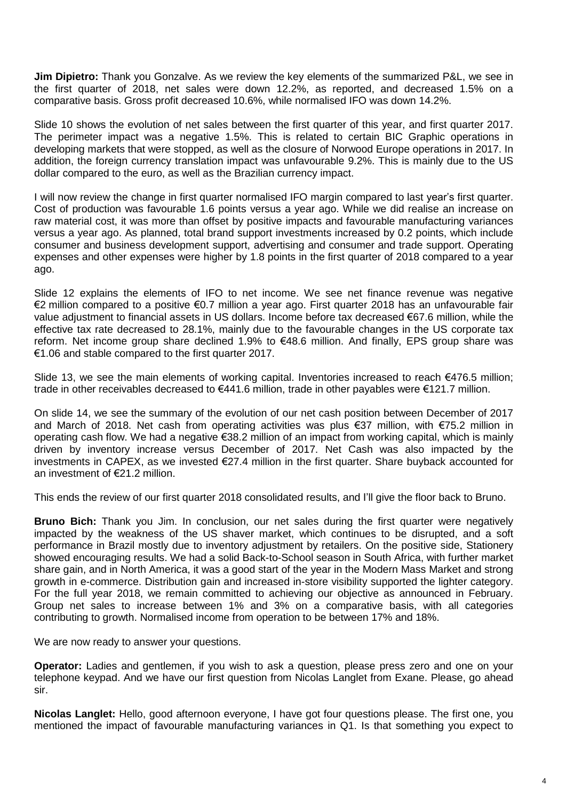**Jim Dipietro:** Thank you Gonzalve. As we review the key elements of the summarized P&L, we see in the first quarter of 2018, net sales were down 12.2%, as reported, and decreased 1.5% on a comparative basis. Gross profit decreased 10.6%, while normalised IFO was down 14.2%.

Slide 10 shows the evolution of net sales between the first quarter of this year, and first quarter 2017. The perimeter impact was a negative 1.5%. This is related to certain BIC Graphic operations in developing markets that were stopped, as well as the closure of Norwood Europe operations in 2017. In addition, the foreign currency translation impact was unfavourable 9.2%. This is mainly due to the US dollar compared to the euro, as well as the Brazilian currency impact.

I will now review the change in first quarter normalised IFO margin compared to last year's first quarter. Cost of production was favourable 1.6 points versus a year ago. While we did realise an increase on raw material cost, it was more than offset by positive impacts and favourable manufacturing variances versus a year ago. As planned, total brand support investments increased by 0.2 points, which include consumer and business development support, advertising and consumer and trade support. Operating expenses and other expenses were higher by 1.8 points in the first quarter of 2018 compared to a year ago.

Slide 12 explains the elements of IFO to net income. We see net finance revenue was negative €2 million compared to a positive €0.7 million a year ago. First quarter 2018 has an unfavourable fair value adjustment to financial assets in US dollars. Income before tax decreased €67.6 million, while the effective tax rate decreased to 28.1%, mainly due to the favourable changes in the US corporate tax reform. Net income group share declined 1.9% to €48.6 million. And finally, EPS group share was €1.06 and stable compared to the first quarter 2017.

Slide 13, we see the main elements of working capital. Inventories increased to reach €476.5 million; trade in other receivables decreased to €441.6 million, trade in other payables were €121.7 million.

On slide 14, we see the summary of the evolution of our net cash position between December of 2017 and March of 2018. Net cash from operating activities was plus €37 million, with €75.2 million in operating cash flow. We had a negative €38.2 million of an impact from working capital, which is mainly driven by inventory increase versus December of 2017. Net Cash was also impacted by the investments in CAPEX, as we invested €27.4 million in the first quarter. Share buyback accounted for an investment of €21.2 million.

This ends the review of our first quarter 2018 consolidated results, and I'll give the floor back to Bruno.

**Bruno Bich:** Thank you Jim. In conclusion, our net sales during the first quarter were negatively impacted by the weakness of the US shaver market, which continues to be disrupted, and a soft performance in Brazil mostly due to inventory adjustment by retailers. On the positive side, Stationery showed encouraging results. We had a solid Back-to-School season in South Africa, with further market share gain, and in North America, it was a good start of the year in the Modern Mass Market and strong growth in e-commerce. Distribution gain and increased in-store visibility supported the lighter category. For the full year 2018, we remain committed to achieving our objective as announced in February. Group net sales to increase between 1% and 3% on a comparative basis, with all categories contributing to growth. Normalised income from operation to be between 17% and 18%.

We are now ready to answer your questions.

**Operator:** Ladies and gentlemen, if you wish to ask a question, please press zero and one on your telephone keypad. And we have our first question from Nicolas Langlet from Exane. Please, go ahead sir.

**Nicolas Langlet:** Hello, good afternoon everyone, I have got four questions please. The first one, you mentioned the impact of favourable manufacturing variances in Q1. Is that something you expect to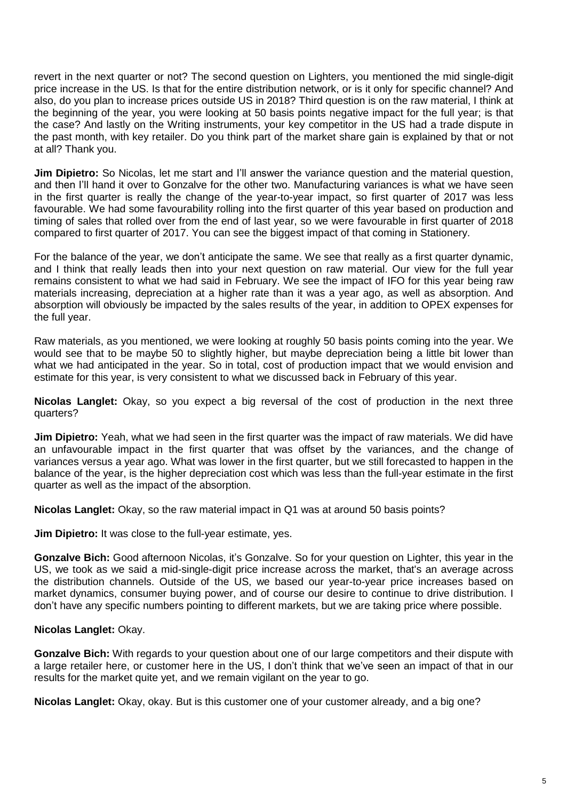revert in the next quarter or not? The second question on Lighters, you mentioned the mid single-digit price increase in the US. Is that for the entire distribution network, or is it only for specific channel? And also, do you plan to increase prices outside US in 2018? Third question is on the raw material, I think at the beginning of the year, you were looking at 50 basis points negative impact for the full year; is that the case? And lastly on the Writing instruments, your key competitor in the US had a trade dispute in the past month, with key retailer. Do you think part of the market share gain is explained by that or not at all? Thank you.

**Jim Dipietro:** So Nicolas, let me start and I'll answer the variance question and the material question, and then I'll hand it over to Gonzalve for the other two. Manufacturing variances is what we have seen in the first quarter is really the change of the year-to-year impact, so first quarter of 2017 was less favourable. We had some favourability rolling into the first quarter of this year based on production and timing of sales that rolled over from the end of last year, so we were favourable in first quarter of 2018 compared to first quarter of 2017. You can see the biggest impact of that coming in Stationery.

For the balance of the year, we don't anticipate the same. We see that really as a first quarter dynamic, and I think that really leads then into your next question on raw material. Our view for the full year remains consistent to what we had said in February. We see the impact of IFO for this year being raw materials increasing, depreciation at a higher rate than it was a year ago, as well as absorption. And absorption will obviously be impacted by the sales results of the year, in addition to OPEX expenses for the full year.

Raw materials, as you mentioned, we were looking at roughly 50 basis points coming into the year. We would see that to be maybe 50 to slightly higher, but maybe depreciation being a little bit lower than what we had anticipated in the year. So in total, cost of production impact that we would envision and estimate for this year, is very consistent to what we discussed back in February of this year.

**Nicolas Langlet:** Okay, so you expect a big reversal of the cost of production in the next three quarters?

**Jim Dipietro:** Yeah, what we had seen in the first quarter was the impact of raw materials. We did have an unfavourable impact in the first quarter that was offset by the variances, and the change of variances versus a year ago. What was lower in the first quarter, but we still forecasted to happen in the balance of the year, is the higher depreciation cost which was less than the full-year estimate in the first quarter as well as the impact of the absorption.

**Nicolas Langlet:** Okay, so the raw material impact in Q1 was at around 50 basis points?

**Jim Dipietro:** It was close to the full-year estimate, yes.

**Gonzalve Bich:** Good afternoon Nicolas, it's Gonzalve. So for your question on Lighter, this year in the US, we took as we said a mid-single-digit price increase across the market, that's an average across the distribution channels. Outside of the US, we based our year-to-year price increases based on market dynamics, consumer buying power, and of course our desire to continue to drive distribution. I don't have any specific numbers pointing to different markets, but we are taking price where possible.

## **Nicolas Langlet:** Okay.

**Gonzalve Bich:** With regards to your question about one of our large competitors and their dispute with a large retailer here, or customer here in the US, I don't think that we've seen an impact of that in our results for the market quite yet, and we remain vigilant on the year to go.

**Nicolas Langlet:** Okay, okay. But is this customer one of your customer already, and a big one?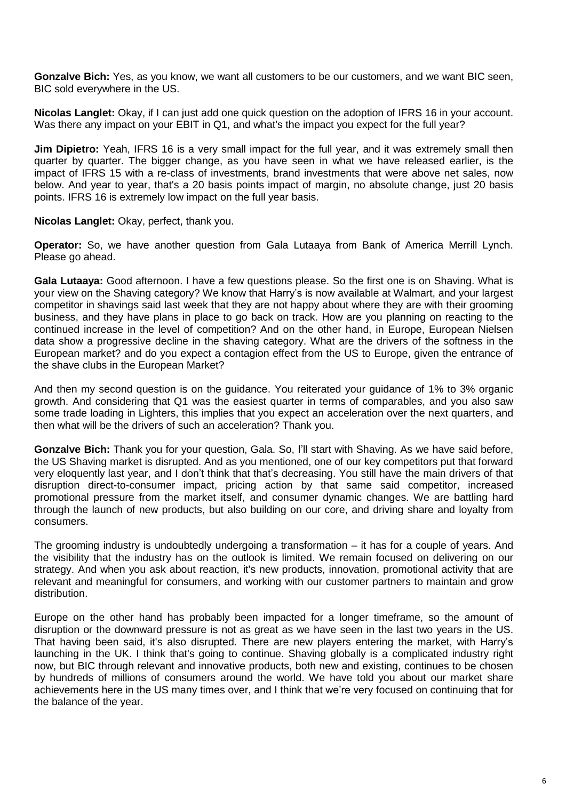**Gonzalve Bich:** Yes, as you know, we want all customers to be our customers, and we want BIC seen, BIC sold everywhere in the US.

**Nicolas Langlet:** Okay, if I can just add one quick question on the adoption of IFRS 16 in your account. Was there any impact on your EBIT in Q1, and what's the impact you expect for the full year?

**Jim Dipietro:** Yeah, IFRS 16 is a very small impact for the full year, and it was extremely small then quarter by quarter. The bigger change, as you have seen in what we have released earlier, is the impact of IFRS 15 with a re-class of investments, brand investments that were above net sales, now below. And year to year, that's a 20 basis points impact of margin, no absolute change, just 20 basis points. IFRS 16 is extremely low impact on the full year basis.

**Nicolas Langlet:** Okay, perfect, thank you.

**Operator:** So, we have another question from Gala Lutaaya from Bank of America Merrill Lynch. Please go ahead.

**Gala Lutaaya:** Good afternoon. I have a few questions please. So the first one is on Shaving. What is your view on the Shaving category? We know that Harry's is now available at Walmart, and your largest competitor in shavings said last week that they are not happy about where they are with their grooming business, and they have plans in place to go back on track. How are you planning on reacting to the continued increase in the level of competition? And on the other hand, in Europe, European Nielsen data show a progressive decline in the shaving category. What are the drivers of the softness in the European market? and do you expect a contagion effect from the US to Europe, given the entrance of the shave clubs in the European Market?

And then my second question is on the guidance. You reiterated your guidance of 1% to 3% organic growth. And considering that Q1 was the easiest quarter in terms of comparables, and you also saw some trade loading in Lighters, this implies that you expect an acceleration over the next quarters, and then what will be the drivers of such an acceleration? Thank you.

**Gonzalve Bich:** Thank you for your question, Gala. So, I'll start with Shaving. As we have said before, the US Shaving market is disrupted. And as you mentioned, one of our key competitors put that forward very eloquently last year, and I don't think that that's decreasing. You still have the main drivers of that disruption direct-to-consumer impact, pricing action by that same said competitor, increased promotional pressure from the market itself, and consumer dynamic changes. We are battling hard through the launch of new products, but also building on our core, and driving share and loyalty from consumers.

The grooming industry is undoubtedly undergoing a transformation – it has for a couple of years. And the visibility that the industry has on the outlook is limited. We remain focused on delivering on our strategy. And when you ask about reaction, it's new products, innovation, promotional activity that are relevant and meaningful for consumers, and working with our customer partners to maintain and grow distribution.

Europe on the other hand has probably been impacted for a longer timeframe, so the amount of disruption or the downward pressure is not as great as we have seen in the last two years in the US. That having been said, it's also disrupted. There are new players entering the market, with Harry's launching in the UK. I think that's going to continue. Shaving globally is a complicated industry right now, but BIC through relevant and innovative products, both new and existing, continues to be chosen by hundreds of millions of consumers around the world. We have told you about our market share achievements here in the US many times over, and I think that we're very focused on continuing that for the balance of the year.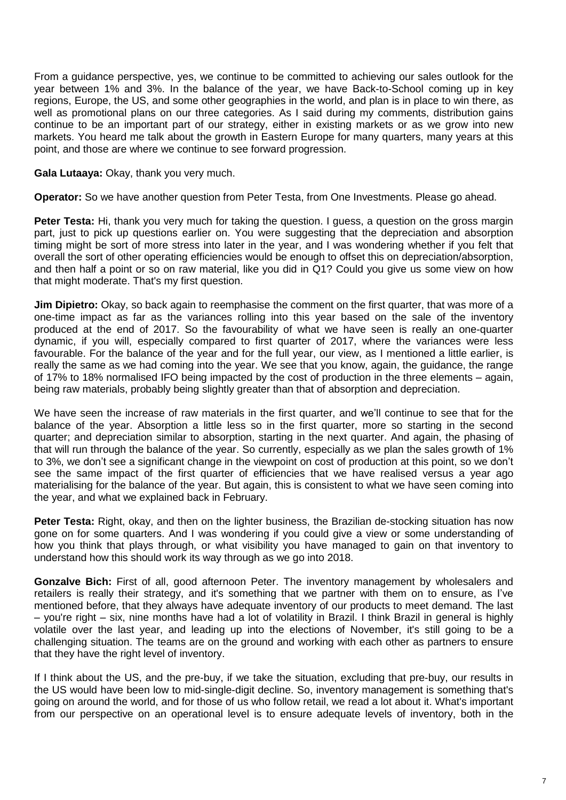From a guidance perspective, yes, we continue to be committed to achieving our sales outlook for the year between 1% and 3%. In the balance of the year, we have Back-to-School coming up in key regions, Europe, the US, and some other geographies in the world, and plan is in place to win there, as well as promotional plans on our three categories. As I said during my comments, distribution gains continue to be an important part of our strategy, either in existing markets or as we grow into new markets. You heard me talk about the growth in Eastern Europe for many quarters, many years at this point, and those are where we continue to see forward progression.

## **Gala Lutaaya:** Okay, thank you very much.

**Operator:** So we have another question from Peter Testa, from One Investments. Please go ahead.

**Peter Testa:** Hi, thank you very much for taking the question. I quess, a question on the gross margin part, just to pick up questions earlier on. You were suggesting that the depreciation and absorption timing might be sort of more stress into later in the year, and I was wondering whether if you felt that overall the sort of other operating efficiencies would be enough to offset this on depreciation/absorption, and then half a point or so on raw material, like you did in Q1? Could you give us some view on how that might moderate. That's my first question.

**Jim Dipietro:** Okay, so back again to reemphasise the comment on the first quarter, that was more of a one-time impact as far as the variances rolling into this year based on the sale of the inventory produced at the end of 2017. So the favourability of what we have seen is really an one-quarter dynamic, if you will, especially compared to first quarter of 2017, where the variances were less favourable. For the balance of the year and for the full year, our view, as I mentioned a little earlier, is really the same as we had coming into the year. We see that you know, again, the guidance, the range of 17% to 18% normalised IFO being impacted by the cost of production in the three elements – again, being raw materials, probably being slightly greater than that of absorption and depreciation.

We have seen the increase of raw materials in the first quarter, and we'll continue to see that for the balance of the year. Absorption a little less so in the first quarter, more so starting in the second quarter; and depreciation similar to absorption, starting in the next quarter. And again, the phasing of that will run through the balance of the year. So currently, especially as we plan the sales growth of 1% to 3%, we don't see a significant change in the viewpoint on cost of production at this point, so we don't see the same impact of the first quarter of efficiencies that we have realised versus a year ago materialising for the balance of the year. But again, this is consistent to what we have seen coming into the year, and what we explained back in February.

**Peter Testa:** Right, okay, and then on the lighter business, the Brazilian de-stocking situation has now gone on for some quarters. And I was wondering if you could give a view or some understanding of how you think that plays through, or what visibility you have managed to gain on that inventory to understand how this should work its way through as we go into 2018.

**Gonzalve Bich:** First of all, good afternoon Peter. The inventory management by wholesalers and retailers is really their strategy, and it's something that we partner with them on to ensure, as I've mentioned before, that they always have adequate inventory of our products to meet demand. The last – you're right – six, nine months have had a lot of volatility in Brazil. I think Brazil in general is highly volatile over the last year, and leading up into the elections of November, it's still going to be a challenging situation. The teams are on the ground and working with each other as partners to ensure that they have the right level of inventory.

If I think about the US, and the pre-buy, if we take the situation, excluding that pre-buy, our results in the US would have been low to mid-single-digit decline. So, inventory management is something that's going on around the world, and for those of us who follow retail, we read a lot about it. What's important from our perspective on an operational level is to ensure adequate levels of inventory, both in the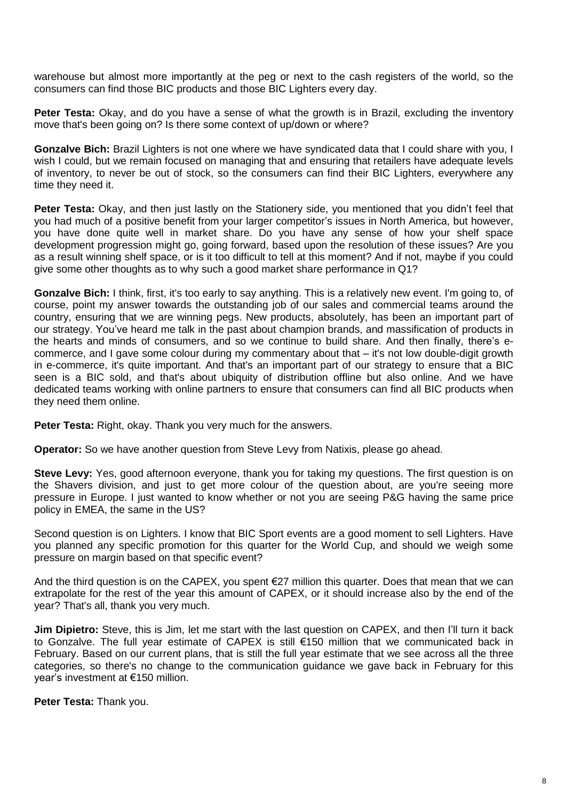warehouse but almost more importantly at the peg or next to the cash registers of the world, so the consumers can find those BIC products and those BIC Lighters every day.

**Peter Testa:** Okay, and do you have a sense of what the growth is in Brazil, excluding the inventory move that's been going on? Is there some context of up/down or where?

**Gonzalve Bich:** Brazil Lighters is not one where we have syndicated data that I could share with you, I wish I could, but we remain focused on managing that and ensuring that retailers have adequate levels of inventory, to never be out of stock, so the consumers can find their BIC Lighters, everywhere any time they need it.

**Peter Testa:** Okay, and then just lastly on the Stationery side, you mentioned that you didn't feel that you had much of a positive benefit from your larger competitor's issues in North America, but however, you have done quite well in market share. Do you have any sense of how your shelf space development progression might go, going forward, based upon the resolution of these issues? Are you as a result winning shelf space, or is it too difficult to tell at this moment? And if not, maybe if you could give some other thoughts as to why such a good market share performance in Q1?

**Gonzalve Bich:** I think, first, it's too early to say anything. This is a relatively new event. I'm going to, of course, point my answer towards the outstanding job of our sales and commercial teams around the country, ensuring that we are winning pegs. New products, absolutely, has been an important part of our strategy. You've heard me talk in the past about champion brands, and massification of products in the hearts and minds of consumers, and so we continue to build share. And then finally, there's ecommerce, and I gave some colour during my commentary about that – it's not low double-digit growth in e-commerce, it's quite important. And that's an important part of our strategy to ensure that a BIC seen is a BIC sold, and that's about ubiquity of distribution offline but also online. And we have dedicated teams working with online partners to ensure that consumers can find all BIC products when they need them online.

**Peter Testa:** Right, okay. Thank you very much for the answers.

**Operator:** So we have another question from Steve Levy from Natixis, please go ahead.

**Steve Levy:** Yes, good afternoon everyone, thank you for taking my questions. The first question is on the Shavers division, and just to get more colour of the question about, are you're seeing more pressure in Europe. I just wanted to know whether or not you are seeing P&G having the same price policy in EMEA, the same in the US?

Second question is on Lighters. I know that BIC Sport events are a good moment to sell Lighters. Have you planned any specific promotion for this quarter for the World Cup, and should we weigh some pressure on margin based on that specific event?

And the third question is on the CAPEX, you spent €27 million this quarter. Does that mean that we can extrapolate for the rest of the year this amount of CAPEX, or it should increase also by the end of the year? That's all, thank you very much.

**Jim Dipietro:** Steve, this is Jim, let me start with the last question on CAPEX, and then I'll turn it back to Gonzalve. The full year estimate of CAPEX is still €150 million that we communicated back in February. Based on our current plans, that is still the full year estimate that we see across all the three categories, so there's no change to the communication guidance we gave back in February for this year's investment at €150 million.

**Peter Testa:** Thank you.